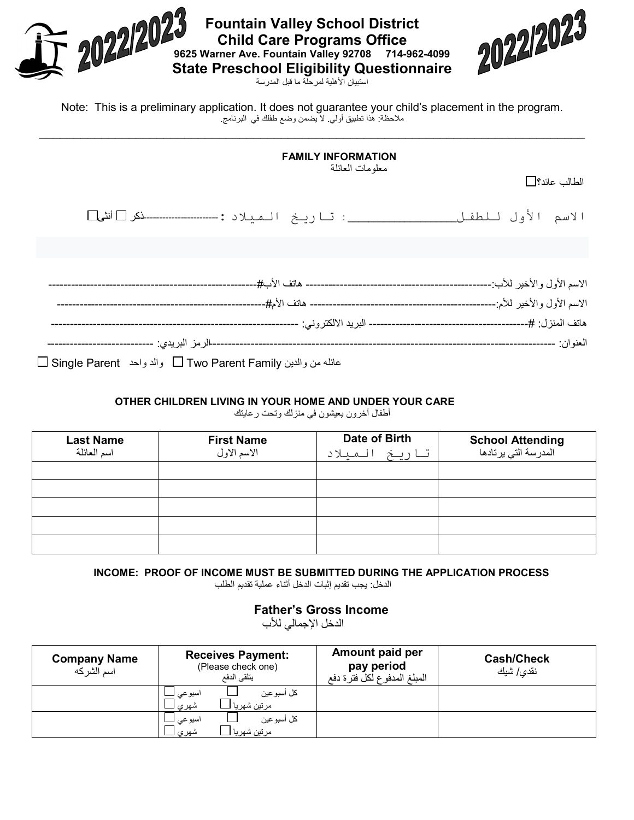| 2022/2023<br>472022023<br><b>Fountain Valley School District</b><br><b>Child Care Programs Office</b><br>9625 Warner Ave. Fountain Valley 92708 714-962-4099<br><b>State Preschool Eligibility Questionnaire</b><br>استيبان الأهلبة لمر حلة ما قبل المدر سة |
|-------------------------------------------------------------------------------------------------------------------------------------------------------------------------------------------------------------------------------------------------------------|
| Note: This is a preliminary application. It does not guarantee your child's placement in the program.<br>ملاحظة: هٰذا تطبيق أولى لاَّ يضمن وضع طفلك في البرنامج                                                                                             |
| <b>FAMILY INFORMATION</b><br>معلومات العائلة<br>الطالب عائد؟                                                                                                                                                                                                |
| الاسم الأول للطفل ــ                                                                                                                                                                                                                                        |
|                                                                                                                                                                                                                                                             |
|                                                                                                                                                                                                                                                             |
|                                                                                                                                                                                                                                                             |
|                                                                                                                                                                                                                                                             |
|                                                                                                                                                                                                                                                             |
| عائله من والدين Two Parent Family والد واحد   Single Parent     والد واحد                                                                                                                                                                                   |

## **OTHER CHILDREN LIVING IN YOUR HOME AND UNDER YOUR CARE**

أطفال آخرون یعیشون في منزلك وتحت رعایتك

| <b>Last Name</b><br>اسم العائلة | <b>First Name</b><br>الاسم الاول | Date of Birth<br>تاريخ<br>المتلاد | <b>School Attending</b><br>المدرسة التي يرتادها |
|---------------------------------|----------------------------------|-----------------------------------|-------------------------------------------------|
|                                 |                                  |                                   |                                                 |
|                                 |                                  |                                   |                                                 |
|                                 |                                  |                                   |                                                 |
|                                 |                                  |                                   |                                                 |
|                                 |                                  |                                   |                                                 |

**INCOME: PROOF OF INCOME MUST BE SUBMITTED DURING THE APPLICATION PROCESS**

الدخل: یجب تقدیم إثبات الدخل أثناء عملیة تقدیم الطلب

**Father's Gross Income**

الدخل الإجمالي للأب

| <b>Company Name</b><br>اسم الشر که | <b>Receives Payment:</b><br>(Please check one)<br>يتلقى الدفع | Amount paid per<br>pay period<br>المبلغ المدفوع لكل فترة دفع | <b>Cash/Check</b><br>نق <i>دى </i> شيك |
|------------------------------------|---------------------------------------------------------------|--------------------------------------------------------------|----------------------------------------|
|                                    | كل أسبو عين<br>اسبو عي<br>شهري<br>مرتين شهريا                 |                                                              |                                        |
|                                    | كل أسبو عين<br>اسبو عي _<br>مرتين شهريا<br>شهري               |                                                              |                                        |